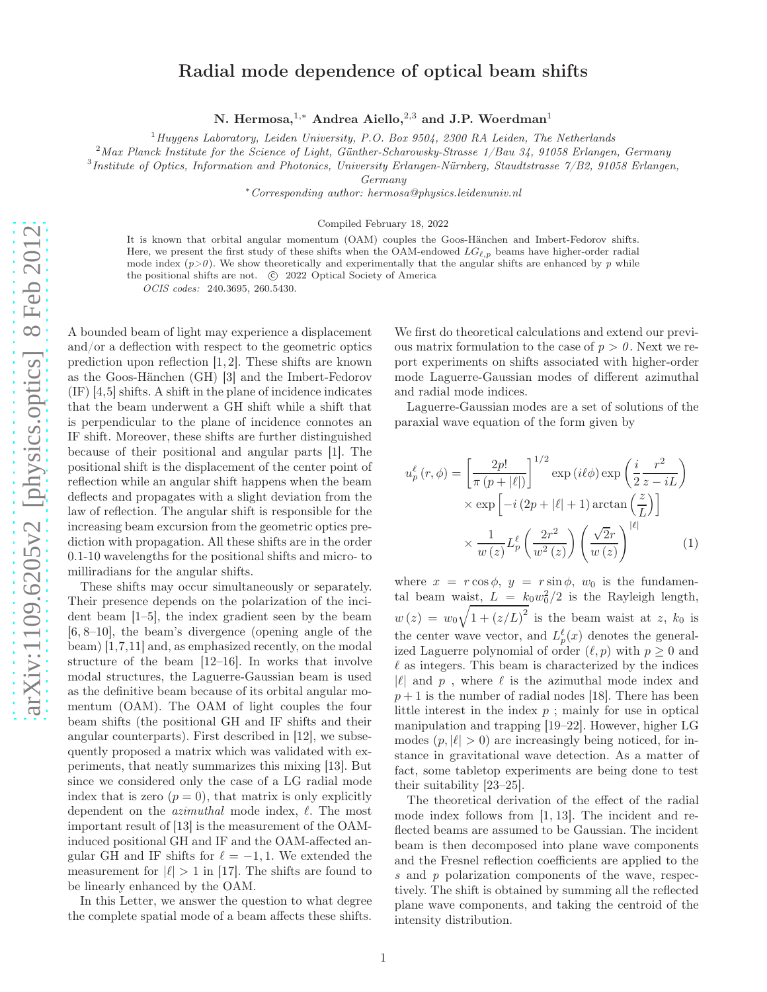## Radial mode dependence of optical beam shifts

N. Hermosa,<sup>1,∗</sup> Andrea Aiello,<sup>2,3</sup> and J.P. Woerdman<sup>1</sup>

 $1$ Huygens Laboratory, Leiden University, P.O. Box 9504, 2300 RA Leiden, The Netherlands

<sup>2</sup>Max Planck Institute for the Science of Light, Günther-Scharowsky-Strasse 1/Bau 34, 91058 Erlangen, Germany

<sup>3</sup>Institute of Optics, Information and Photonics, University Erlangen-Nürnberg, Staudtstrasse 7/B2, 91058 Erlangen,

Germany

<sup>∗</sup>Corresponding author: hermosa@physics.leidenuniv.nl

Compiled February 18, 2022

It is known that orbital angular momentum (OAM) couples the Goos-Hänchen and Imbert-Fedorov shifts. Here, we present the first study of these shifts when the OAM-endowed  $LG_{\ell,p}$  beams have higher-order radial mode index  $(p>0)$ . We show theoretically and experimentally that the angular shifts are enhanced by p while the positional shifts are not. (C) 2022 Optical Society of America

OCIS codes: 240.3695, 260.5430.

A bounded beam of light may experience a displacement and/or a deflection with respect to the geometric optics prediction upon reflection [1, 2]. These shifts are known as the Goos-Hänchen (GH) [3] and the Imbert-Fedorov (IF) [4,5] shifts. A shift in the plane of incidence indicates that the beam underwent a GH shift while a shift that is perpendicular to the plane of incidence connotes an IF shift. Moreover, these shifts are further distinguished because of their positional and angular parts [1]. The positional shift is the displacement of the center point of reflection while an angular shift happens when the beam deflects and propagates with a slight deviation from the law of reflection. The angular shift is responsible for the increasing beam excursion from the geometric optics prediction with propagation. All these shifts are in the order 0.1-10 wavelengths for the positional shifts and micro- to milliradians for the angular shifts.

These shifts may occur simultaneously or separately. Their presence depends on the polarization of the incident beam [1–5], the index gradient seen by the beam [6, 8–10], the beam's divergence (opening angle of the beam) [1,7,11] and, as emphasized recently, on the modal structure of the beam [12–16]. In works that involve modal structures, the Laguerre-Gaussian beam is used as the definitive beam because of its orbital angular momentum (OAM). The OAM of light couples the four beam shifts (the positional GH and IF shifts and their angular counterparts). First described in [12], we subsequently proposed a matrix which was validated with experiments, that neatly summarizes this mixing [13]. But since we considered only the case of a LG radial mode index that is zero  $(p = 0)$ , that matrix is only explicitly dependent on the *azimuthal* mode index,  $\ell$ . The most important result of [13] is the measurement of the OAMinduced positional GH and IF and the OAM-affected angular GH and IF shifts for  $\ell = -1, 1$ . We extended the measurement for  $|\ell| > 1$  in [17]. The shifts are found to be linearly enhanced by the OAM.

In this Letter, we answer the question to what degree the complete spatial mode of a beam affects these shifts.

We first do theoretical calculations and extend our previous matrix formulation to the case of  $p > 0$ . Next we report experiments on shifts associated with higher-order mode Laguerre-Gaussian modes of different azimuthal and radial mode indices.

Laguerre-Gaussian modes are a set of solutions of the paraxial wave equation of the form given by

$$
u_p^{\ell}(r,\phi) = \left[\frac{2p!}{\pi (p+|\ell|)}\right]^{1/2} \exp\left(i\ell\phi\right) \exp\left(\frac{i}{2}\frac{r^2}{z-iL}\right)
$$

$$
\times \exp\left[-i\left(2p+|\ell|+1\right)\arctan\left(\frac{z}{L}\right)\right]
$$

$$
\times \frac{1}{w(z)} L_p^{\ell}\left(\frac{2r^2}{w^2(z)}\right) \left(\frac{\sqrt{2}r}{w(z)}\right)^{|\ell|} \tag{1}
$$

where  $x = r \cos \phi$ ,  $y = r \sin \phi$ ,  $w_0$  is the fundamental beam waist,  $L = k_0 w_0^2/2$  is the Rayleigh length,  $w(z) = w_0 \sqrt{1 + (z/L)^2}$  is the beam waist at z,  $k_0$  is the center wave vector, and  $L_p^{\ell}(x)$  denotes the generalized Laguerre polynomial of order  $(\ell, p)$  with  $p \geq 0$  and  $\ell$  as integers. This beam is characterized by the indices  $|\ell|$  and p, where  $\ell$  is the azimuthal mode index and  $p+1$  is the number of radial nodes [18]. There has been little interest in the index  $p$ ; mainly for use in optical manipulation and trapping [19–22]. However, higher LG modes  $(p, |\ell| > 0)$  are increasingly being noticed, for instance in gravitational wave detection. As a matter of fact, some tabletop experiments are being done to test their suitability [23–25].

The theoretical derivation of the effect of the radial mode index follows from [1, 13]. The incident and reflected beams are assumed to be Gaussian. The incident beam is then decomposed into plane wave components and the Fresnel reflection coefficients are applied to the s and p polarization components of the wave, respectively. The shift is obtained by summing all the reflected plane wave components, and taking the centroid of the intensity distribution.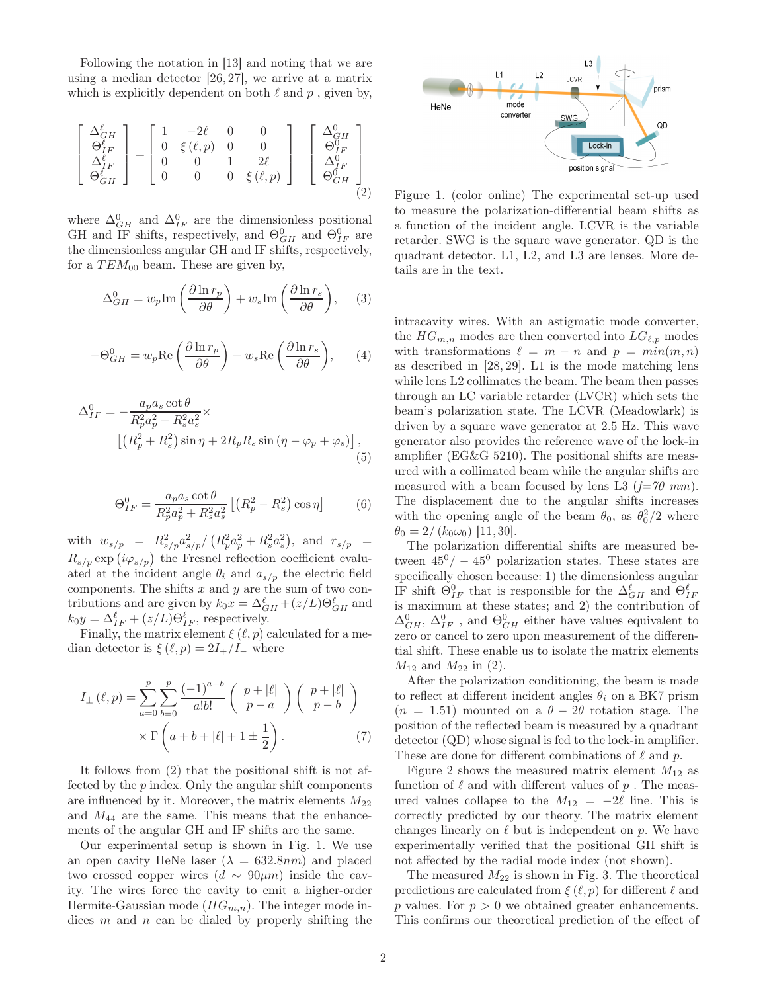Following the notation in [13] and noting that we are using a median detector [26, 27], we arrive at a matrix which is explicitly dependent on both  $\ell$  and  $p$ , given by,

$$
\begin{bmatrix}\n\Delta_{GH}^{\ell} \\
\Theta_{IF}^{\ell} \\
\Delta_{IF}^{\ell} \\
\Theta_{GH}^{\ell}\n\end{bmatrix} = \begin{bmatrix}\n1 & -2\ell & 0 & 0 \\
0 & \xi(\ell, p) & 0 & 0 \\
0 & 0 & 1 & 2\ell \\
0 & 0 & 0 & \xi(\ell, p)\n\end{bmatrix} \begin{bmatrix}\n\Delta_{GH}^{0} \\
\Theta_{IF}^{0} \\
\Delta_{IF}^{0} \\
\Theta_{GH}^{0}\n\end{bmatrix}
$$
\n(2)

where  $\Delta_{GH}^0$  and  $\Delta_{IF}^0$  are the dimensionless positional GH and IF shifts, respectively, and  $\Theta_{GH}^0$  and  $\Theta_{IF}^0$  are the dimensionless angular GH and IF shifts, respectively, for a  $TEM_{00}$  beam. These are given by,

$$
\Delta_{GH}^0 = w_p \text{Im}\left(\frac{\partial \ln r_p}{\partial \theta}\right) + w_s \text{Im}\left(\frac{\partial \ln r_s}{\partial \theta}\right), \quad (3)
$$

$$
-\Theta_{GH}^0 = w_p \text{Re}\left(\frac{\partial \ln r_p}{\partial \theta}\right) + w_s \text{Re}\left(\frac{\partial \ln r_s}{\partial \theta}\right), \qquad (4)
$$

$$
\Delta_{IF}^{0} = -\frac{a_p a_s \cot \theta}{R_p^2 a_p^2 + R_s^2 a_s^2} \times \left[ \left( R_p^2 + R_s^2 \right) \sin \eta + 2R_p R_s \sin \left( \eta - \varphi_p + \varphi_s \right) \right], \tag{5}
$$

$$
\Theta_{IF}^{0} = \frac{a_p a_s \cot \theta}{R_p^2 a_p^2 + R_s^2 a_s^2} \left[ \left( R_p^2 - R_s^2 \right) \cos \eta \right]
$$
(6)

with  $w_{s/p} = R_{s/p}^2 a_{s/p}^2 / (R_p^2 a_p^2 + R_s^2 a_s^2)$ , and  $r_{s/p} =$  $R_{s/p} \exp(i\varphi_{s/p})$  the Fresnel reflection coefficient evaluated at the incident angle  $\theta_i$  and  $a_{s/n}$  the electric field components. The shifts  $x$  and  $y$  are the sum of two contributions and are given by  $k_0 x = \Delta_{GH}^{\ell} + (z/L)\Theta_{GH}^{\ell}$  and  $k_0 y = \Delta_{IF}^{\ell} + (z/L)\Theta_{IF}^{\ell}$ , respectively.

Finally, the matrix element  $\xi(\ell, p)$  calculated for a median detector is  $\xi(\ell, p) = 2I_{+}/I_{-}$  where

$$
I_{\pm}(\ell,p) = \sum_{a=0}^{p} \sum_{b=0}^{p} \frac{(-1)^{a+b}}{a!b!} \left( \begin{array}{c} p+|\ell| \\ p-a \end{array} \right) \left( \begin{array}{c} p+|\ell| \\ p-b \end{array} \right)
$$

$$
\times \Gamma \left( a+b+|\ell|+1 \pm \frac{1}{2} \right). \tag{7}
$$

It follows from (2) that the positional shift is not affected by the p index. Only the angular shift components are influenced by it. Moreover, the matrix elements  $M_{22}$ and  $M_{44}$  are the same. This means that the enhancements of the angular GH and IF shifts are the same.

Our experimental setup is shown in Fig. 1. We use an open cavity HeNe laser  $(\lambda = 632.8nm)$  and placed two crossed copper wires  $(d \sim 90 \mu m)$  inside the cavity. The wires force the cavity to emit a higher-order Hermite-Gaussian mode  $(HG_{m,n})$ . The integer mode indices  $m$  and  $n$  can be dialed by properly shifting the



Figure 1. (color online) The experimental set-up used to measure the polarization-differential beam shifts as a function of the incident angle. LCVR is the variable retarder. SWG is the square wave generator. QD is the quadrant detector. L1, L2, and L3 are lenses. More details are in the text.

intracavity wires. With an astigmatic mode converter, the  $HG_{m,n}$  modes are then converted into  $LG_{\ell,n}$  modes with transformations  $\ell = m - n$  and  $p = min(m, n)$ as described in [28, 29]. L1 is the mode matching lens while lens L2 collimates the beam. The beam then passes through an LC variable retarder (LVCR) which sets the beam's polarization state. The LCVR (Meadowlark) is driven by a square wave generator at 2.5 Hz. This wave generator also provides the reference wave of the lock-in amplifier (EG&G 5210). The positional shifts are measured with a collimated beam while the angular shifts are measured with a beam focused by lens L3  $(f=70$  mm). The displacement due to the angular shifts increases with the opening angle of the beam  $\theta_0$ , as  $\theta_0^2/2$  where  $\theta_0 = 2/(k_0\omega_0)$  [11, 30].

The polarization differential shifts are measured between  $45^0/- 45^0$  polarization states. These states are specifically chosen because: 1) the dimensionless angular IF shift  $\Theta_{IF}^0$  that is responsible for the  $\Delta_{GH}^{\ell}$  and  $\Theta_{IF}^{\ell}$ is maximum at these states; and 2) the contribution of  $\Delta_{GH}^0,\,\Delta_{IF}^0$  , and  $\Theta_{GH}^0$  either have values equivalent to zero or cancel to zero upon measurement of the differential shift. These enable us to isolate the matrix elements  $M_{12}$  and  $M_{22}$  in (2).

After the polarization conditioning, the beam is made to reflect at different incident angles  $\theta_i$  on a BK7 prism  $(n = 1.51)$  mounted on a  $\theta - 2\theta$  rotation stage. The position of the reflected beam is measured by a quadrant detector (QD) whose signal is fed to the lock-in amplifier. These are done for different combinations of  $\ell$  and  $p$ .

Figure 2 shows the measured matrix element  $M_{12}$  as function of  $\ell$  and with different values of  $p$ . The measured values collapse to the  $M_{12} = -2\ell$  line. This is correctly predicted by our theory. The matrix element changes linearly on  $\ell$  but is independent on p. We have experimentally verified that the positional GH shift is not affected by the radial mode index (not shown).

The measured  $M_{22}$  is shown in Fig. 3. The theoretical predictions are calculated from  $\xi(\ell, p)$  for different  $\ell$  and p values. For  $p > 0$  we obtained greater enhancements. This confirms our theoretical prediction of the effect of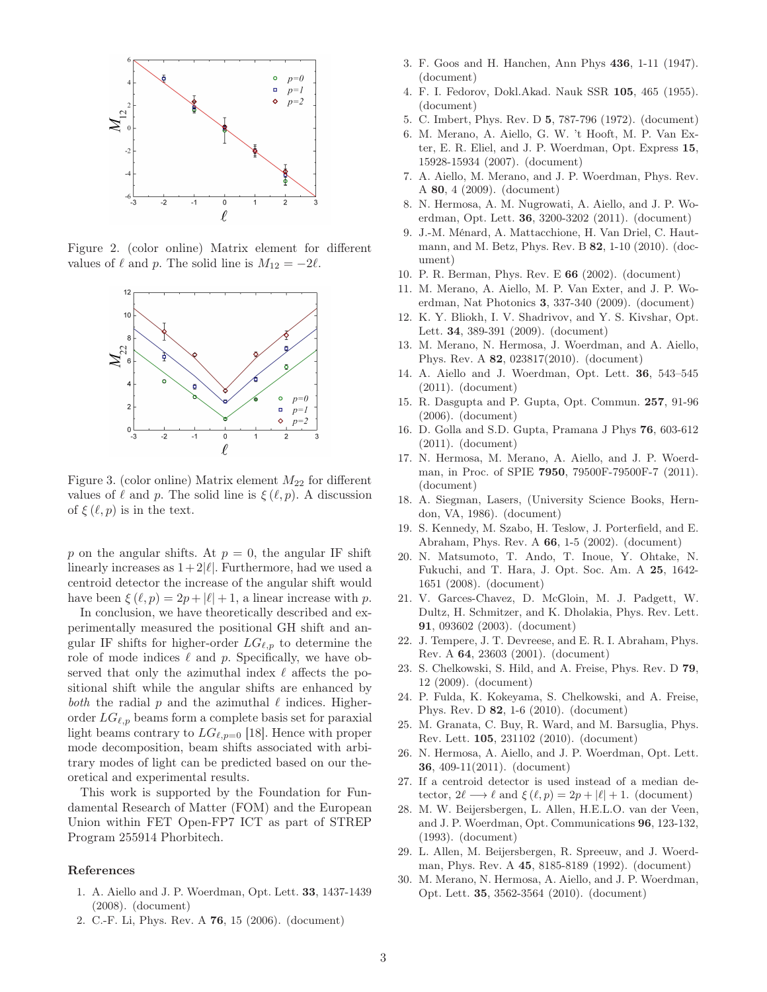

Figure 2. (color online) Matrix element for different values of  $\ell$  and p. The solid line is  $M_{12} = -2\ell$ .



Figure 3. (color online) Matrix element  $M_{22}$  for different values of  $\ell$  and  $p$ . The solid line is  $\xi(\ell, p)$ . A discussion of  $\xi(\ell, p)$  is in the text.

p on the angular shifts. At  $p = 0$ , the angular IF shift linearly increases as  $1+2|\ell|$ . Furthermore, had we used a centroid detector the increase of the angular shift would have been  $\xi(\ell, p) = 2p + |\ell| + 1$ , a linear increase with p.

In conclusion, we have theoretically described and experimentally measured the positional GH shift and angular IF shifts for higher-order  $LG_{\ell,p}$  to determine the role of mode indices  $\ell$  and  $p$ . Specifically, we have observed that only the azimuthal index  $\ell$  affects the positional shift while the angular shifts are enhanced by both the radial  $p$  and the azimuthal  $\ell$  indices. Higherorder  $LG_{\ell,p}$  beams form a complete basis set for paraxial light beams contrary to  $LG_{\ell,p=0}$  [18]. Hence with proper mode decomposition, beam shifts associated with arbitrary modes of light can be predicted based on our theoretical and experimental results.

This work is supported by the Foundation for Fundamental Research of Matter (FOM) and the European Union within FET Open-FP7 ICT as part of STREP Program 255914 Phorbitech.

## References

- 1. A. Aiello and J. P. Woerdman, Opt. Lett. 33, 1437-1439 (2008). (document)
- 2. C.-F. Li, Phys. Rev. A 76, 15 (2006). (document)
- 3. F. Goos and H. Hanchen, Ann Phys 436, 1-11 (1947). (document)
- 4. F. I. Fedorov, Dokl.Akad. Nauk SSR 105, 465 (1955). (document)
- 5. C. Imbert, Phys. Rev. D 5, 787-796 (1972). (document)
- 6. M. Merano, A. Aiello, G. W. 't Hooft, M. P. Van Exter, E. R. Eliel, and J. P. Woerdman, Opt. Express 15, 15928-15934 (2007). (document)
- 7. A. Aiello, M. Merano, and J. P. Woerdman, Phys. Rev. A 80, 4 (2009). (document)
- 8. N. Hermosa, A. M. Nugrowati, A. Aiello, and J. P. Woerdman, Opt. Lett. 36, 3200-3202 (2011). (document)
- 9. J.-M. Ménard, A. Mattacchione, H. Van Driel, C. Hautmann, and M. Betz, Phys. Rev. B 82, 1-10 (2010). (document)
- 10. P. R. Berman, Phys. Rev. E 66 (2002). (document)
- 11. M. Merano, A. Aiello, M. P. Van Exter, and J. P. Woerdman, Nat Photonics 3, 337-340 (2009). (document)
- 12. K. Y. Bliokh, I. V. Shadrivov, and Y. S. Kivshar, Opt. Lett. 34, 389-391 (2009). (document)
- 13. M. Merano, N. Hermosa, J. Woerdman, and A. Aiello, Phys. Rev. A 82, 023817(2010). (document)
- 14. A. Aiello and J. Woerdman, Opt. Lett. 36, 543–545 (2011). (document)
- 15. R. Dasgupta and P. Gupta, Opt. Commun. 257, 91-96 (2006). (document)
- 16. D. Golla and S.D. Gupta, Pramana J Phys 76, 603-612 (2011). (document)
- 17. N. Hermosa, M. Merano, A. Aiello, and J. P. Woerdman, in Proc. of SPIE **7950**, 79500F-79500F-7 (2011). (document)
- 18. A. Siegman, Lasers, (University Science Books, Herndon, VA, 1986). (document)
- 19. S. Kennedy, M. Szabo, H. Teslow, J. Porterfield, and E. Abraham, Phys. Rev. A 66, 1-5 (2002). (document)
- 20. N. Matsumoto, T. Ando, T. Inoue, Y. Ohtake, N. Fukuchi, and T. Hara, J. Opt. Soc. Am. A 25, 1642- 1651 (2008). (document)
- 21. V. Garces-Chavez, D. McGloin, M. J. Padgett, W. Dultz, H. Schmitzer, and K. Dholakia, Phys. Rev. Lett. 91, 093602 (2003). (document)
- 22. J. Tempere, J. T. Devreese, and E. R. I. Abraham, Phys. Rev. A 64, 23603 (2001). (document)
- 23. S. Chelkowski, S. Hild, and A. Freise, Phys. Rev. D 79, 12 (2009). (document)
- 24. P. Fulda, K. Kokeyama, S. Chelkowski, and A. Freise, Phys. Rev. D 82, 1-6 (2010). (document)
- 25. M. Granata, C. Buy, R. Ward, and M. Barsuglia, Phys. Rev. Lett. 105, 231102 (2010). (document)
- 26. N. Hermosa, A. Aiello, and J. P. Woerdman, Opt. Lett. 36, 409-11(2011). (document)
- 27. If a centroid detector is used instead of a median detector,  $2\ell \longrightarrow \ell$  and  $\xi(\ell, p) = 2p + |\ell| + 1$ . (document)
- 28. M. W. Beijersbergen, L. Allen, H.E.L.O. van der Veen, and J. P. Woerdman, Opt. Communications 96, 123-132, (1993). (document)
- 29. L. Allen, M. Beijersbergen, R. Spreeuw, and J. Woerdman, Phys. Rev. A 45, 8185-8189 (1992). (document)
- 30. M. Merano, N. Hermosa, A. Aiello, and J. P. Woerdman, Opt. Lett. 35, 3562-3564 (2010). (document)